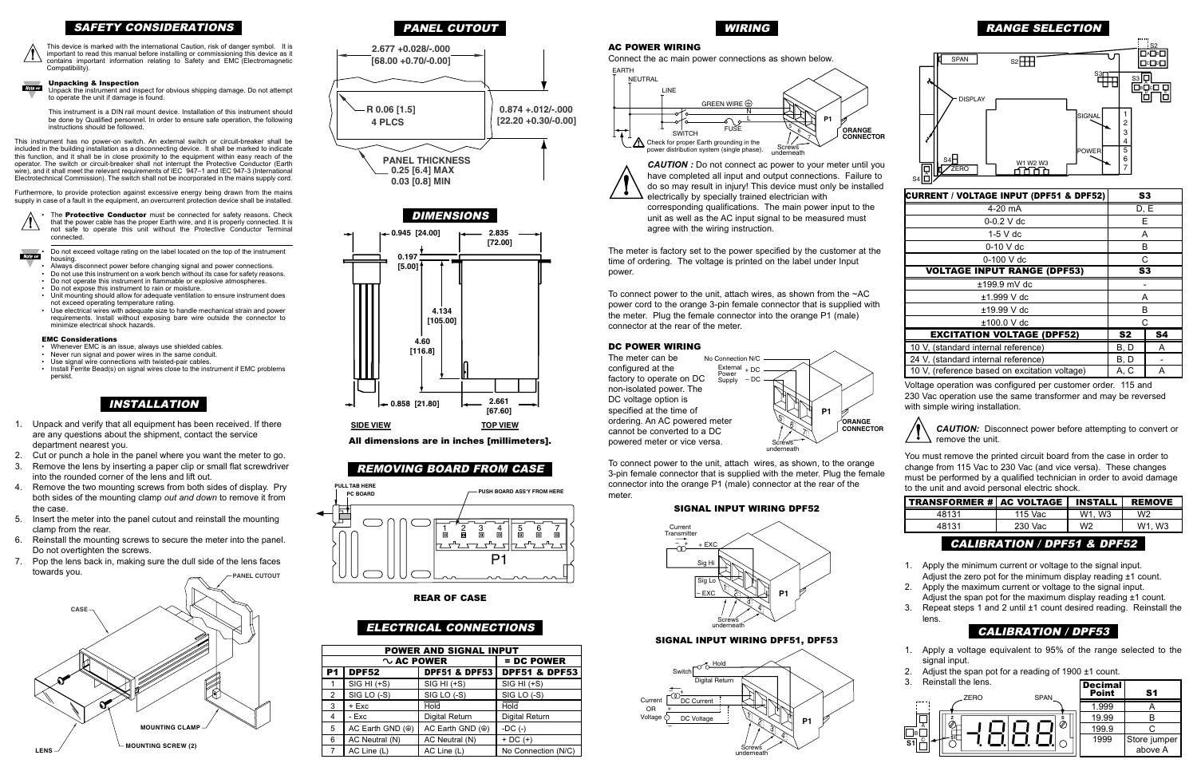#### AC POWER WIRING

To connect power to the unit, attach wires, as shown, to the orange 3-pin female connector that is supplied with the meter. Plug the female connector into the orange P1 (male) connector at the rear of the meter

The meter is factory set to the power specified by the customer at the time of ordering. The voltage is printed on the label under Input power.

To connect power to the unit, attach wires, as shown from the ~AC power cord to the orange 3-pin female connector that is supplied with the meter. Plug the female connector into the orange P1 (male) connector at the rear of the meter.

#### DC POWER WIRING



*CAUTION:* Disconnect power before attempting to convert or remove the unit.

#### SIGNAL INPUT WIRING DPF52

#### SIGNAL INPUT WIRING DPF51, DPF53

| <b>POWER AND SIGNAL INPUT</b> |                               |                          |                          |  |  |
|-------------------------------|-------------------------------|--------------------------|--------------------------|--|--|
|                               | $\sim$ AC POWER<br>= DC POWER |                          |                          |  |  |
| P <sub>1</sub>                | <b>DPF52</b>                  | <b>DPF51 &amp; DPF53</b> | <b>DPF51 &amp; DPF53</b> |  |  |
| 1                             | SIG HI (+S)                   | $SIG HI (+S)$            | SIG HI (+S)              |  |  |
| $\overline{2}$                | SIG LO (-S)                   | SIG LO (-S)              | SIG LO (-S)              |  |  |
| 3                             | + Exc                         | <b>Hold</b>              | <b>Hold</b>              |  |  |
| 4                             | - Exc                         | <b>Digital Return</b>    | <b>Digital Return</b>    |  |  |
| 5                             | AC Earth GND $(\circledast)$  | AC Earth GND (@)         | -DC $(-)$                |  |  |
| 6                             | AC Neutral (N)                | AC Neutral (N)           | $+$ DC $(+)$             |  |  |
| 7                             | AC Line (L)                   | AC Line (L)              | No Connection (N/C)      |  |  |

#### Unpacking & Inspection **Note say**



# RANGE SELECTION

Voltage operation was configured per customer order. 115 and 230 Vac operation use the same transformer and may be reversed with simple wiring installation.



You must remove the printed circuit board from the case in order to change from 115 Vac to 230 Vac (and vice versa). These changes must be performed by a qualified technician in order to avoid damage to the unit and avoid personal electric shock.

**Note Fig.**  Do not exceed voltage rating on the label located on the top of the instrument housing.

# INSTALLATION

- 1. Unpack and verify that all equipment has been received. If there are any questions about the shipment, contact the service department nearest you.
- 2. Cut or punch a hole in the panel where you want the meter to go.
- 3. Remove the lens by inserting a paper clip or small flat screwdriver into the rounded corner of the lens and lift out.
- 4. Remove the two mounting screws from both sides of display. Pry both sides of the mounting clamp *out and down* to remove it from the case.
- 5. Insert the meter into the panel cutout and reinstall the mounting clamp from the rear.
- Reinstall the mounting screws to secure the meter into the panel. Do not overtighten the screws.
- 7. Pop the lens back in, making sure the dull side of the lens faces towards you.

**CAUTION**: Do not connect ac power to your meter until you have completed all input and output connections. Failure to do so may result in injury! This device must only be installed electrically by specially trained electrician with corresponding qualifications. The main power input to the unit as well as the AC input signal to be measured must agree with the wiring instruction. underneath

Connect the ac main power connections as shown below. EARTH

## ELECTRICAL CONNECTIONS

## SAFETY CONSIDERATIONS



This device is marked with the international Caution, risk of danger symbol. It is important to read this manual before installing or commissioning this device as it contains important information relating to Safety and EMC (Electromagnetic Compatibility).



Unpack the instrument and inspect for obvious shipping damage. Do not attempt to operate the unit if damage is found.

This instrument is a DIN rail mount device. Installation of this instrument should be done by Qualified personnel. In order to ensure safe operation, the following instructions should be followed.

This instrument has no power-on switch. An external switch or circuit-breaker shall be included in the building installation as a disconnecting device. It shall be marked to indicate this function, and it shall be in close proximity to the equipment within easy reach of the operator. The switch or circuit-breaker shall not interrupt the Protective Conductor (Earth wire), and it shall meet the relevant requirements of IEC 947-1 and IEC 947-3 (International Electrotechnical Commission). The switch shall not be incorporated in the mains supply cord.

| <b>TRANSFORMER # AC VOLTAGE</b>        |         | <b>INSTALL</b>                  | <b>REMOVE</b> |
|----------------------------------------|---------|---------------------------------|---------------|
| 48131                                  | 115 Vac | W <sub>1</sub> . W <sub>3</sub> | W2            |
| 48131                                  | 230 Vac | W2                              | W1. W3        |
| <b>CALIBRATION / DPF51 &amp; DPF52</b> |         |                                 |               |

Furthermore, to provide protection against excessive energy being drawn from the mains supply in case of a fault in the equipment, an overcurrent protection device shall be installed.





- 
- Always disconnect power before changing signal and power connections. Do not use this instrument on a work bench without its case for safety reasons.
- Do not operate this instrument in flammable or explosive atmospheres.
- Unit mounting should allow for adequate ventilation to ensure instrument does not exceed operating temperature rating.
- Use electrical wires with adequate size to handle mechanical strain and power requirements. Install without exposing bare wire outside the connector to minimize electrical shock hazards.

#### EMC Considerations

- Whenever EMC is an issue, always use shielded cables.
- Never run signal and power wires in the same conduit.
- Use signal wire connections with twisted-pair cables.
- Install Ferrite Bead(s) on signal wires close to the instrument if EMC problems persist.

- 1. Apply the minimum current or voltage to the signal input. Adjust the zero pot for the minimum display reading ±1 count.
- 2. Apply the maximum current or voltage to the signal input.
- Adjust the span pot for the maximum display reading ±1 count. 3. Repeat steps 1 and 2 until ±1 count desired reading. Reinstall the lens.



## REMOVING BOARD FROM CASE







PANEL CUTOUT



#### REAR OF CASE



All dimensions are in inches [millimeters].

# CALIBRATION / DPF53

- 1. Apply a voltage equivalent to 95% of the range selected to the signal input.
- 2. Adjust the span pot for a reading of 1900 ±1 count.
- 3. Reinstall the lens.



| <b>Decimal</b><br>Point | S1                      |
|-------------------------|-------------------------|
| 1.999                   |                         |
| 19.99                   | R                       |
| 199.9                   | □                       |
| 1999                    | Store jumper<br>above A |

| <b>CURRENT / VOLTAGE INPUT (DPF51 &amp; DPF52)</b> |                | S <sub>3</sub> |
|----------------------------------------------------|----------------|----------------|
| $4-20$ mA                                          |                | D, E           |
| $0 - 0.2$ V dc                                     | Е              |                |
| $1-5$ V dc                                         | A              |                |
| $0-10$ V dc                                        | B              |                |
| C<br>$0-100$ V dc                                  |                |                |
| <b>VOLTAGE INPUT RANGE (DPF53)</b>                 |                | S <sub>3</sub> |
| ±199.9 mV dc                                       |                |                |
| ±1.999 V dc                                        | A              |                |
| $±19.99$ V dc                                      | B              |                |
| $±100.0$ V dc                                      |                | C              |
| <b>EXCITATION VOLTAGE (DPF52)</b>                  | S <sub>2</sub> | <b>S4</b>      |
| 10 V, (standard internal reference)                | B, D           | A              |
| 24 V, (standard internal reference)                | B, D           |                |
| 10 V, (reference based on excitation voltage)      | A, C           | A              |